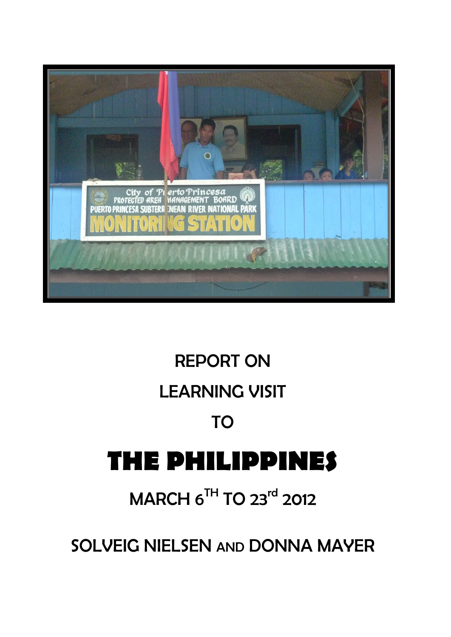

# REPORT ON LEARNING VISIT TO **THE PHILIPPINES**

## MARCH 6<sup>TH</sup> TO 23<sup>rd</sup> 2012

SOLVEIG NIELSEN AND DONNA MAYER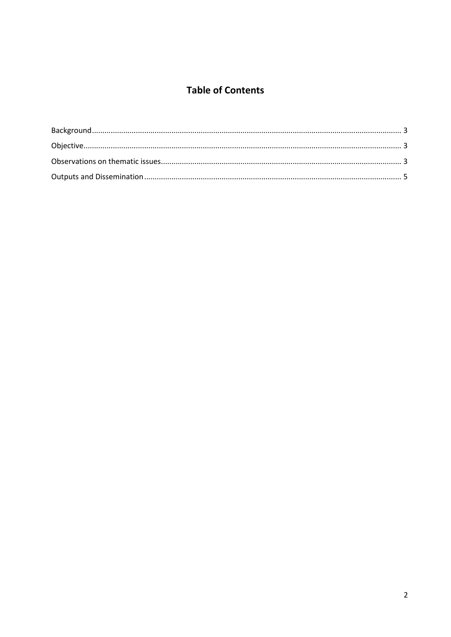### **Table of Contents**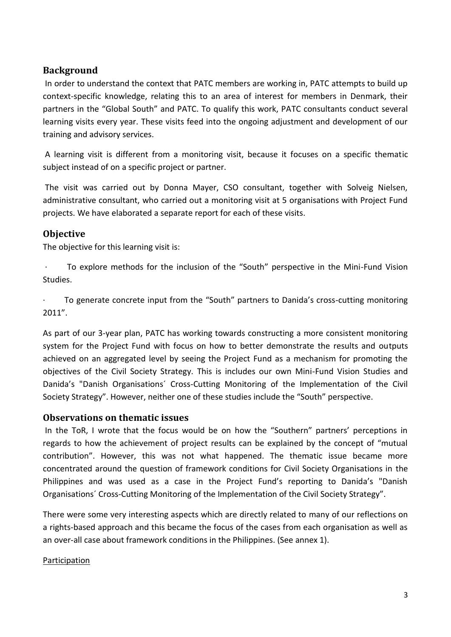#### <span id="page-2-0"></span>**Background**

In order to understand the context that PATC members are working in, PATC attempts to build up context-specific knowledge, relating this to an area of interest for members in Denmark, their partners in the "Global South" and PATC. To qualify this work, PATC consultants conduct several learning visits every year. These visits feed into the ongoing adjustment and development of our training and advisory services.

A learning visit is different from a monitoring visit, because it focuses on a specific thematic subject instead of on a specific project or partner.

The visit was carried out by Donna Mayer, CSO consultant, together with Solveig Nielsen, administrative consultant, who carried out a monitoring visit at 5 organisations with Project Fund projects. We have elaborated a separate report for each of these visits.

#### <span id="page-2-1"></span>**Objective**

The objective for this learning visit is:

· To explore methods for the inclusion of the "South" perspective in the Mini-Fund Vision Studies.

To generate concrete input from the "South" partners to Danida's cross-cutting monitoring 2011".

As part of our 3-year plan, PATC has working towards constructing a more consistent monitoring system for the Project Fund with focus on how to better demonstrate the results and outputs achieved on an aggregated level by seeing the Project Fund as a mechanism for promoting the objectives of the Civil Society Strategy. This is includes our own Mini-Fund Vision Studies and Danida's "Danish Organisations´ Cross-Cutting Monitoring of the Implementation of the Civil Society Strategy". However, neither one of these studies include the "South" perspective.

#### <span id="page-2-2"></span>**Observations on thematic issues**

In the ToR, I wrote that the focus would be on how the "Southern" partners' perceptions in regards to how the achievement of project results can be explained by the concept of "mutual contribution". However, this was not what happened. The thematic issue became more concentrated around the question of framework conditions for Civil Society Organisations in the Philippines and was used as a case in the Project Fund's reporting to Danida's "Danish Organisations´ Cross-Cutting Monitoring of the Implementation of the Civil Society Strategy".

There were some very interesting aspects which are directly related to many of our reflections on a rights-based approach and this became the focus of the cases from each organisation as well as an over-all case about framework conditions in the Philippines. (See annex 1).

#### Participation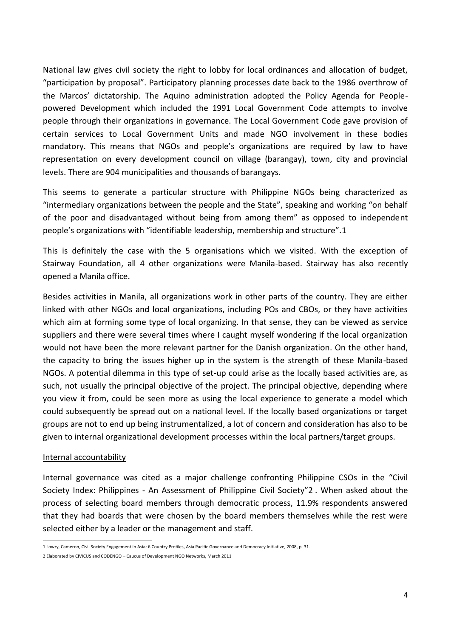National law gives civil society the right to lobby for local ordinances and allocation of budget, "participation by proposal". Participatory planning processes date back to the 1986 overthrow of the Marcos' dictatorship. The Aquino administration adopted the Policy Agenda for Peoplepowered Development which included the 1991 Local Government Code attempts to involve people through their organizations in governance. The Local Government Code gave provision of certain services to Local Government Units and made NGO involvement in these bodies mandatory. This means that NGOs and people's organizations are required by law to have representation on every development council on village (barangay), town, city and provincial levels. There are 904 municipalities and thousands of barangays.

This seems to generate a particular structure with Philippine NGOs being characterized as "intermediary organizations between the people and the State", speaking and working "on behalf of the poor and disadvantaged without being from among them" as opposed to independent people's organizations with "identifiable leadership, membership and structure".1

This is definitely the case with the 5 organisations which we visited. With the exception of Stairway Foundation, all 4 other organizations were Manila-based. Stairway has also recently opened a Manila office.

Besides activities in Manila, all organizations work in other parts of the country. They are either linked with other NGOs and local organizations, including POs and CBOs, or they have activities which aim at forming some type of local organizing. In that sense, they can be viewed as service suppliers and there were several times where I caught myself wondering if the local organization would not have been the more relevant partner for the Danish organization. On the other hand, the capacity to bring the issues higher up in the system is the strength of these Manila-based NGOs. A potential dilemma in this type of set-up could arise as the locally based activities are, as such, not usually the principal objective of the project. The principal objective, depending where you view it from, could be seen more as using the local experience to generate a model which could subsequently be spread out on a national level. If the locally based organizations or target groups are not to end up being instrumentalized, a lot of concern and consideration has also to be given to internal organizational development processes within the local partners/target groups.

#### Internal accountability

Internal governance was cited as a major challenge confronting Philippine CSOs in the "Civil Society Index: Philippines - An Assessment of Philippine Civil Society"2 . When asked about the process of selecting board members through democratic process, 11.9% respondents answered that they had boards that were chosen by the board members themselves while the rest were selected either by a leader or the management and staff.

**<sup>.</sup>** 1 Lowry, Cameron, Civil Society Engagement in Asia: 6 Country Profiles, Asia Pacific Governance and Democracy Initiative, 2008, p. 31.

<sup>2</sup> Elaborated by CIVICUS and CODENGO – Caucus of Development NGO Networks, March 2011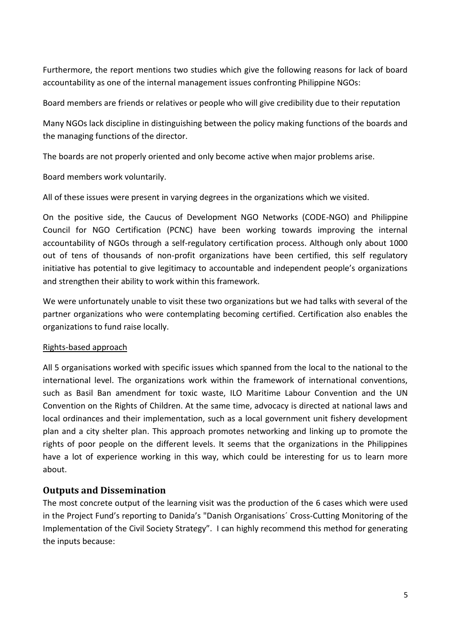Furthermore, the report mentions two studies which give the following reasons for lack of board accountability as one of the internal management issues confronting Philippine NGOs:

Board members are friends or relatives or people who will give credibility due to their reputation

Many NGOs lack discipline in distinguishing between the policy making functions of the boards and the managing functions of the director.

The boards are not properly oriented and only become active when major problems arise.

Board members work voluntarily.

All of these issues were present in varying degrees in the organizations which we visited.

On the positive side, the Caucus of Development NGO Networks (CODE-NGO) and Philippine Council for NGO Certification (PCNC) have been working towards improving the internal accountability of NGOs through a self-regulatory certification process. Although only about 1000 out of tens of thousands of non-profit organizations have been certified, this self regulatory initiative has potential to give legitimacy to accountable and independent people's organizations and strengthen their ability to work within this framework.

We were unfortunately unable to visit these two organizations but we had talks with several of the partner organizations who were contemplating becoming certified. Certification also enables the organizations to fund raise locally.

#### Rights-based approach

All 5 organisations worked with specific issues which spanned from the local to the national to the international level. The organizations work within the framework of international conventions, such as Basil Ban amendment for toxic waste, ILO Maritime Labour Convention and the UN Convention on the Rights of Children. At the same time, advocacy is directed at national laws and local ordinances and their implementation, such as a local government unit fishery development plan and a city shelter plan. This approach promotes networking and linking up to promote the rights of poor people on the different levels. It seems that the organizations in the Philippines have a lot of experience working in this way, which could be interesting for us to learn more about.

#### <span id="page-4-0"></span>**Outputs and Dissemination**

The most concrete output of the learning visit was the production of the 6 cases which were used in the Project Fund's reporting to Danida's "Danish Organisations´ Cross-Cutting Monitoring of the Implementation of the Civil Society Strategy". I can highly recommend this method for generating the inputs because: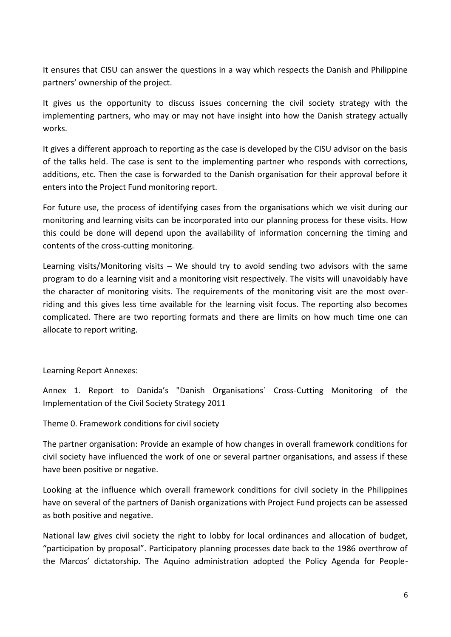It ensures that CISU can answer the questions in a way which respects the Danish and Philippine partners' ownership of the project.

It gives us the opportunity to discuss issues concerning the civil society strategy with the implementing partners, who may or may not have insight into how the Danish strategy actually works.

It gives a different approach to reporting as the case is developed by the CISU advisor on the basis of the talks held. The case is sent to the implementing partner who responds with corrections, additions, etc. Then the case is forwarded to the Danish organisation for their approval before it enters into the Project Fund monitoring report.

For future use, the process of identifying cases from the organisations which we visit during our monitoring and learning visits can be incorporated into our planning process for these visits. How this could be done will depend upon the availability of information concerning the timing and contents of the cross-cutting monitoring.

Learning visits/Monitoring visits  $-$  We should try to avoid sending two advisors with the same program to do a learning visit and a monitoring visit respectively. The visits will unavoidably have the character of monitoring visits. The requirements of the monitoring visit are the most overriding and this gives less time available for the learning visit focus. The reporting also becomes complicated. There are two reporting formats and there are limits on how much time one can allocate to report writing.

#### Learning Report Annexes:

Annex 1. Report to Danida's "Danish Organisations´ Cross-Cutting Monitoring of the Implementation of the Civil Society Strategy 2011

Theme 0. Framework conditions for civil society

The partner organisation: Provide an example of how changes in overall framework conditions for civil society have influenced the work of one or several partner organisations, and assess if these have been positive or negative.

Looking at the influence which overall framework conditions for civil society in the Philippines have on several of the partners of Danish organizations with Project Fund projects can be assessed as both positive and negative.

National law gives civil society the right to lobby for local ordinances and allocation of budget, "participation by proposal". Participatory planning processes date back to the 1986 overthrow of the Marcos' dictatorship. The Aquino administration adopted the Policy Agenda for People-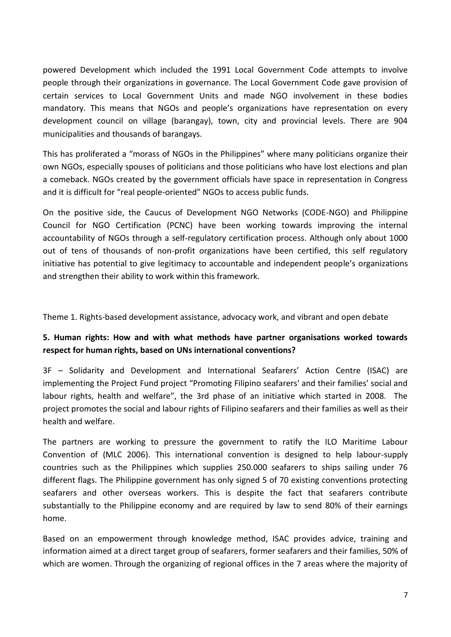powered Development which included the 1991 Local Government Code attempts to involve people through their organizations in governance. The Local Government Code gave provision of certain services to Local Government Units and made NGO involvement in these bodies mandatory. This means that NGOs and people's organizations have representation on every development council on village (barangay), town, city and provincial levels. There are 904 municipalities and thousands of barangays.

This has proliferated a "morass of NGOs in the Philippines" where many politicians organize their own NGOs, especially spouses of politicians and those politicians who have lost elections and plan a comeback. NGOs created by the government officials have space in representation in Congress and it is difficult for "real people-oriented" NGOs to access public funds.

On the positive side, the Caucus of Development NGO Networks (CODE-NGO) and Philippine Council for NGO Certification (PCNC) have been working towards improving the internal accountability of NGOs through a self-regulatory certification process. Although only about 1000 out of tens of thousands of non-profit organizations have been certified, this self regulatory initiative has potential to give legitimacy to accountable and independent people's organizations and strengthen their ability to work within this framework.

Theme 1. Rights-based development assistance, advocacy work, and vibrant and open debate

#### **5. Human rights: How and with what methods have partner organisations worked towards respect for human rights, based on UNs international conventions?**

3F – Solidarity and Development and International Seafarers' Action Centre (ISAC) are implementing the Project Fund project "Promoting Filipino seafarers' and their families' social and labour rights, health and welfare", the 3rd phase of an initiative which started in 2008. The project promotes the social and labour rights of Filipino seafarers and their families as well as their health and welfare.

The partners are working to pressure the government to ratify the ILO Maritime Labour Convention of (MLC 2006). This international convention is designed to help labour-supply countries such as the Philippines which supplies 250.000 seafarers to ships sailing under 76 different flags. The Philippine government has only signed 5 of 70 existing conventions protecting seafarers and other overseas workers. This is despite the fact that seafarers contribute substantially to the Philippine economy and are required by law to send 80% of their earnings home.

Based on an empowerment through knowledge method, ISAC provides advice, training and information aimed at a direct target group of seafarers, former seafarers and their families, 50% of which are women. Through the organizing of regional offices in the 7 areas where the majority of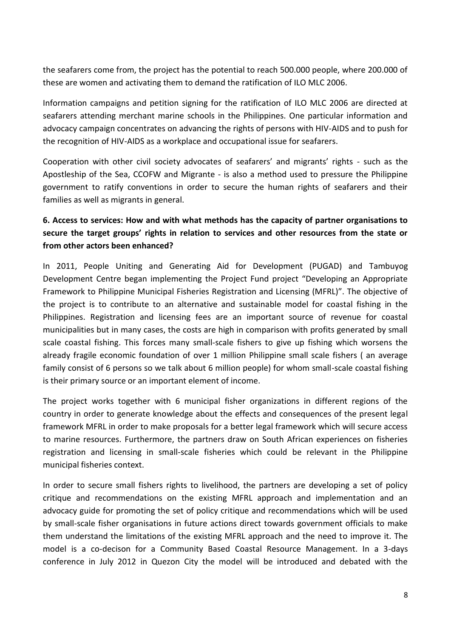the seafarers come from, the project has the potential to reach 500.000 people, where 200.000 of these are women and activating them to demand the ratification of ILO MLC 2006.

Information campaigns and petition signing for the ratification of ILO MLC 2006 are directed at seafarers attending merchant marine schools in the Philippines. One particular information and advocacy campaign concentrates on advancing the rights of persons with HIV-AIDS and to push for the recognition of HIV-AIDS as a workplace and occupational issue for seafarers.

Cooperation with other civil society advocates of seafarers' and migrants' rights - such as the Apostleship of the Sea, CCOFW and Migrante - is also a method used to pressure the Philippine government to ratify conventions in order to secure the human rights of seafarers and their families as well as migrants in general.

#### **6. Access to services: How and with what methods has the capacity of partner organisations to secure the target groups' rights in relation to services and other resources from the state or from other actors been enhanced?**

In 2011, People Uniting and Generating Aid for Development (PUGAD) and Tambuyog Development Centre began implementing the Project Fund project "Developing an Appropriate Framework to Philippine Municipal Fisheries Registration and Licensing (MFRL)". The objective of the project is to contribute to an alternative and sustainable model for coastal fishing in the Philippines. Registration and licensing fees are an important source of revenue for coastal municipalities but in many cases, the costs are high in comparison with profits generated by small scale coastal fishing. This forces many small-scale fishers to give up fishing which worsens the already fragile economic foundation of over 1 million Philippine small scale fishers ( an average family consist of 6 persons so we talk about 6 million people) for whom small-scale coastal fishing is their primary source or an important element of income.

The project works together with 6 municipal fisher organizations in different regions of the country in order to generate knowledge about the effects and consequences of the present legal framework MFRL in order to make proposals for a better legal framework which will secure access to marine resources. Furthermore, the partners draw on South African experiences on fisheries registration and licensing in small-scale fisheries which could be relevant in the Philippine municipal fisheries context.

In order to secure small fishers rights to livelihood, the partners are developing a set of policy critique and recommendations on the existing MFRL approach and implementation and an advocacy guide for promoting the set of policy critique and recommendations which will be used by small-scale fisher organisations in future actions direct towards government officials to make them understand the limitations of the existing MFRL approach and the need to improve it. The model is a co-decison for a Community Based Coastal Resource Management. In a 3-days conference in July 2012 in Quezon City the model will be introduced and debated with the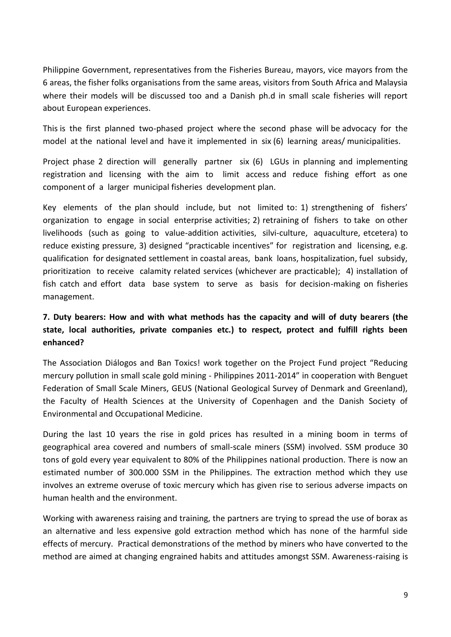Philippine Government, representatives from the Fisheries Bureau, mayors, vice mayors from the 6 areas, the fisher folks organisations from the same areas, visitors from South Africa and Malaysia where their models will be discussed too and a Danish ph.d in small scale fisheries will report about European experiences.

This is the first planned two-phased project where the second phase will be advocacy for the model at the national level and have it implemented in six (6) learning areas/ municipalities.

Project phase 2 direction will generally partner six (6) LGUs in planning and implementing registration and licensing with the aim to limit access and reduce fishing effort as one component of a larger municipal fisheries development plan.

Key elements of the plan should include, but not limited to: 1) strengthening of fishers' organization to engage in social enterprise activities; 2) retraining of fishers to take on other livelihoods (such as going to value-addition activities, silvi-culture, aquaculture, etcetera) to reduce existing pressure, 3) designed "practicable incentives" for registration and licensing, e.g. qualification for designated settlement in coastal areas, bank loans, hospitalization, fuel subsidy, prioritization to receive calamity related services (whichever are practicable); 4) installation of fish catch and effort data base system to serve as basis for decision-making on fisheries management.

#### **7. Duty bearers: How and with what methods has the capacity and will of duty bearers (the state, local authorities, private companies etc.) to respect, protect and fulfill rights been enhanced?**

The Association Diálogos and Ban Toxics! work together on the Project Fund project "Reducing mercury pollution in small scale gold mining - Philippines 2011-2014" in cooperation with Benguet Federation of Small Scale Miners, GEUS (National Geological Survey of Denmark and Greenland), the Faculty of Health Sciences at the University of Copenhagen and the Danish Society of Environmental and Occupational Medicine.

During the last 10 years the rise in gold prices has resulted in a mining boom in terms of geographical area covered and numbers of small-scale miners (SSM) involved. SSM produce 30 tons of gold every year equivalent to 80% of the Philippines national production. There is now an estimated number of 300.000 SSM in the Philippines. The extraction method which they use involves an extreme overuse of toxic mercury which has given rise to serious adverse impacts on human health and the environment.

Working with awareness raising and training, the partners are trying to spread the use of borax as an alternative and less expensive gold extraction method which has none of the harmful side effects of mercury. Practical demonstrations of the method by miners who have converted to the method are aimed at changing engrained habits and attitudes amongst SSM. Awareness-raising is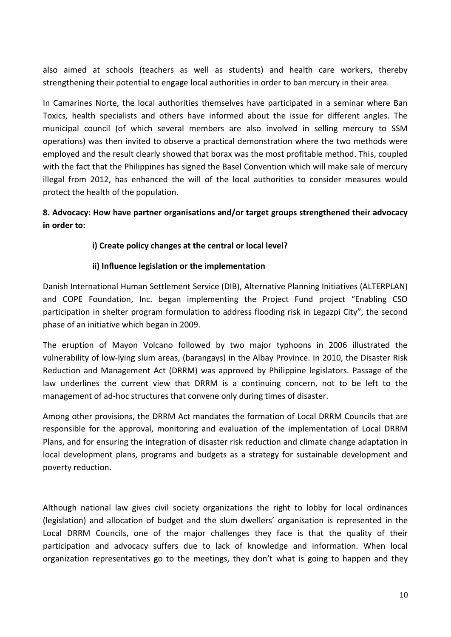also aimed at schools (teachers as well as students) and health care workers, thereby strengthening their potential to engage local authorities in order to ban mercury in their area.

In Camarines Norte, the local authorities themselves have participated in a seminar where Ban Toxics, health specialists and others have informed about the issue for different angles. The municipal council (of which several members are also involved in selling mercury to SSM operations) was then invited to observe a practical demonstration where the two methods were employed and the result clearly showed that borax was the most profitable method. This, coupled with the fact that the Philippines has signed the Basel Convention which will make sale of mercury illegal from 2012, has enhanced the will of the local authorities to consider measures would protect the health of the population.

#### **8. Advocacy: How have partner organisations and/or target groups strengthened their advocacy in order to:**

#### **i) Create policy changes at the central or local level?**

#### **ii) Influence legislation or the implementation**

Danish International Human Settlement Service (DIB), Alternative Planning Initiatives (ALTERPLAN) and COPE Foundation, Inc. began implementing the Project Fund project "Enabling CSO participation in shelter program formulation to address flooding risk in Legazpi City", the second phase of an initiative which began in 2009.

The eruption of Mayon Volcano followed by two major typhoons in 2006 illustrated the vulnerability of low-lying slum areas, (barangays) in the Albay Province. In 2010, the Disaster Risk Reduction and Management Act (DRRM) was approved by Philippine legislators. Passage of the law underlines the current view that DRRM is a continuing concern, not to be left to the management of ad-hoc structures that convene only during times of disaster.

Among other provisions, the DRRM Act mandates the formation of Local DRRM Councils that are responsible for the approval, monitoring and evaluation of the implementation of Local DRRM Plans, and for ensuring the integration of disaster risk reduction and climate change adaptation in local development plans, programs and budgets as a strategy for sustainable development and poverty reduction.

Although national law gives civil society organizations the right to lobby for local ordinances (legislation) and allocation of budget and the slum dwellers' organisation is represented in the Local DRRM Councils, one of the major challenges they face is that the quality of their participation and advocacy suffers due to lack of knowledge and information. When local organization representatives go to the meetings, they don't what is going to happen and they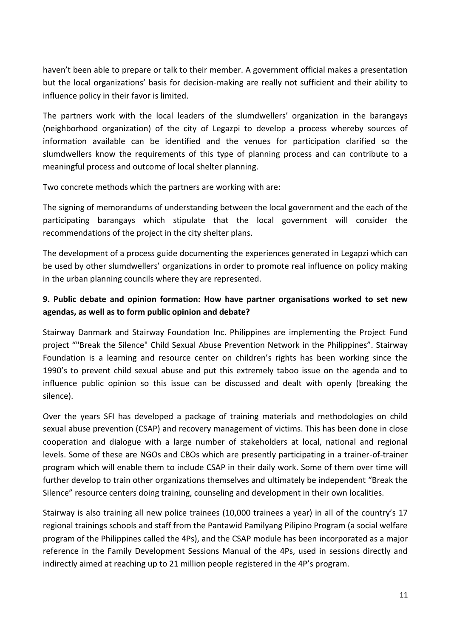haven't been able to prepare or talk to their member. A government official makes a presentation but the local organizations' basis for decision-making are really not sufficient and their ability to influence policy in their favor is limited.

The partners work with the local leaders of the slumdwellers' organization in the barangays (neighborhood organization) of the city of Legazpi to develop a process whereby sources of information available can be identified and the venues for participation clarified so the slumdwellers know the requirements of this type of planning process and can contribute to a meaningful process and outcome of local shelter planning.

Two concrete methods which the partners are working with are:

The signing of memorandums of understanding between the local government and the each of the participating barangays which stipulate that the local government will consider the recommendations of the project in the city shelter plans.

The development of a process guide documenting the experiences generated in Legapzi which can be used by other slumdwellers' organizations in order to promote real influence on policy making in the urban planning councils where they are represented.

#### **9. Public debate and opinion formation: How have partner organisations worked to set new agendas, as well as to form public opinion and debate?**

Stairway Danmark and Stairway Foundation Inc. Philippines are implementing the Project Fund project ""Break the Silence" Child Sexual Abuse Prevention Network in the Philippines". Stairway Foundation is a learning and resource center on children's rights has been working since the 1990's to prevent child sexual abuse and put this extremely taboo issue on the agenda and to influence public opinion so this issue can be discussed and dealt with openly (breaking the silence).

Over the years SFI has developed a package of training materials and methodologies on child sexual abuse prevention (CSAP) and recovery management of victims. This has been done in close cooperation and dialogue with a large number of stakeholders at local, national and regional levels. Some of these are NGOs and CBOs which are presently participating in a trainer-of-trainer program which will enable them to include CSAP in their daily work. Some of them over time will further develop to train other organizations themselves and ultimately be independent "Break the Silence" resource centers doing training, counseling and development in their own localities.

Stairway is also training all new police trainees (10,000 trainees a year) in all of the country's 17 regional trainings schools and staff from the Pantawid Pamilyang Pilipino Program (a social welfare program of the Philippines called the 4Ps), and the CSAP module has been incorporated as a major reference in the Family Development Sessions Manual of the 4Ps, used in sessions directly and indirectly aimed at reaching up to 21 million people registered in the 4P's program.